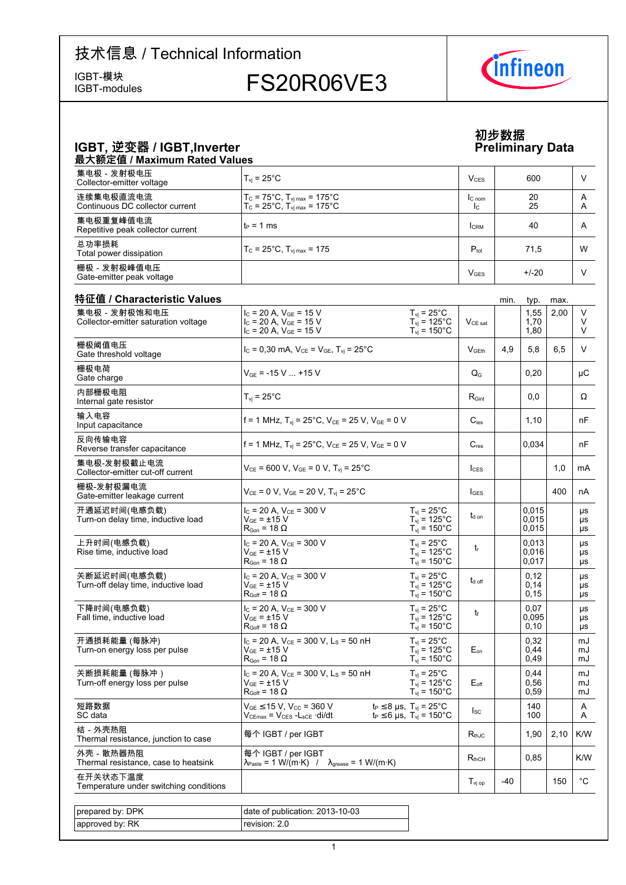IGBT-modules

IGBT-模块<br>IGBT-modules FS20R06VE3



**Data**

**初步数据**

# IGBT, 逆变器 / IGBT,Inverter Preliminary

#### 最大额定值 / Maximum Rated Values 集电极 - 发射极电压 Collector-emitter voltage voltage  $\boxed{\mathsf{T}_{\mathsf{vj}}}=25^\circ\textsf{C}$  and  $\boxed{\mathsf{V}_{\mathsf{CES}}}$  (  $\boxed{\mathsf{V}_{\mathsf{CES}}}$  (  $\boxed{\mathsf{600}}$  ,  $\boxed{\mathsf{V}}$ 连续集电极直流电流 Continuous DC collector current  $T_{\text{C}}$  = 75°C,  $T_{\text{vj max}}$  = 175°C  $T_{C}$  = 25°C,  $T_{vj \, max}$  = 175°C IC nom IC 20 25 A A 集电极重复峰值电流 Repetitive peak collector current  $\begin{vmatrix} t_P = 1 \text{ ms} \\ 1 \text{ cm} \end{vmatrix}$   $\begin{vmatrix} 1 \text{ cm} \\ 40 \end{vmatrix}$  A 总功率损耗 Total power  $T_c = 25^{\circ}$ C, T<sub>vj max</sub> = 175 **Ptot** Ptot **Ptot** 71,5 W 栅极-发射极峰值电压 Gate-emitter peak voltage <sup>V</sup>GES +/-20 <sup>V</sup>

| 特征值 / Characteristic Values<br>集电极 - 发射极饱和电压        | $I_c = 20$ A, $V_{GE} = 15$ V                                                                                         | $T_{vi}$ = 25°C                                                                     |                    |     | 1,55                    | 2,00 | V                     |
|-----------------------------------------------------|-----------------------------------------------------------------------------------------------------------------------|-------------------------------------------------------------------------------------|--------------------|-----|-------------------------|------|-----------------------|
| Collector-emitter saturation voltage                | $I_c = 20$ A, $V_{GE} = 15$ V<br>$I_c = 20 A$ , $V_{GE} = 15 V$                                                       | $T_{vi}$ = 125°C<br>$T_{vi}$ = 150 $^{\circ}$ C                                     | $V_{CE\ sat}$      |     | 1,70<br>1,80            |      | V<br>V                |
| 栅极阈值电压<br>Gate threshold voltage                    | $I_c = 0,30$ mA, $V_{CE} = V_{GE}$ , $T_{vi} = 25^{\circ}$ C                                                          |                                                                                     | V <sub>GEth</sub>  | 4,9 | 5,8                     | 6,5  | V                     |
| 栅极电荷<br>Gate charge                                 | $V_{GF}$ = -15 V  +15 V                                                                                               |                                                                                     | $Q_G$              |     | 0,20                    |      | μC                    |
| 内部栅极电阻<br>Internal gate resistor                    | $T_{vi}$ = 25 $^{\circ}$ C                                                                                            |                                                                                     | $R_{\text{Gint}}$  |     | 0,0                     |      | Ω                     |
| 输入电容<br>Input capacitance                           | f = 1 MHz, $T_{vi}$ = 25°C, $V_{CE}$ = 25 V, $V_{GE}$ = 0 V                                                           |                                                                                     | $C_{\text{ies}}$   |     | 1,10                    |      | nF                    |
| 反向传输电容<br>Reverse transfer capacitance              | f = 1 MHz, $T_{vi}$ = 25°C, $V_{CE}$ = 25 V, $V_{GE}$ = 0 V                                                           |                                                                                     | $C_{res}$          |     | 0,034                   |      | nF                    |
| 集电极-发射极截止电流<br>Collector-emitter cut-off current    | $V_{CE}$ = 600 V, $V_{GE}$ = 0 V, $T_{vi}$ = 25°C                                                                     |                                                                                     | $I_{CES}$          |     |                         | 1,0  | mA                    |
| 栅极-发射极漏电流<br>Gate-emitter leakage current           | $V_{CE} = 0 V$ , $V_{GE} = 20 V$ , $T_{vi} = 25$ °C                                                                   |                                                                                     | $I_{\text{GES}}$   |     |                         | 400  | nA                    |
| 开通延迟时间(电感负载)<br>Turn-on delay time, inductive load  | $I_C$ = 20 A, $V_{CE}$ = 300 V<br>$V_{GF}$ = ±15 V<br>$R_{\text{Gon}}$ = 18 $\Omega$                                  | $T_{\rm vj}$ = 25°C<br>$T_{vi}$ = 125°C<br>$T_{vi}$ = 150 $^{\circ}$ C              | t <sub>d on</sub>  |     | 0.015<br>0,015<br>0,015 |      | μs<br>μs<br>μs        |
| 上升时间(电感负载)<br>Rise time, inductive load             | $I_C$ = 20 A, $V_{CE}$ = 300 V<br>$\rm V_{GE}$ = ±15 $\rm V$<br>$R_{\text{Gon}} = 18 \Omega$                          | $T_{vi}$ = 25°C<br>$T_{vi}$ = 125°C<br>$T_{\text{vj}}$ = 150 $^{\circ}$ C           | $t_{r}$            |     | 0,013<br>0,016<br>0,017 |      | μs<br>μs<br>μs        |
| 关断延迟时间(电感负载)<br>Turn-off delay time, inductive load | $I_{C}$ = 20 A, $V_{CF}$ = 300 V<br>$V_{GE}$ = $\pm 15$ V<br>$R_{Goff}$ = 18 $\Omega$                                 | $T_{vi}$ = 25°C<br>$T_{vi}$ = 125°C<br>$T_{\rm vj}$ = 150 $^{\circ}$ C              | $t_{\text{d off}}$ |     | 0,12<br>0,14<br>0,15    |      | μs<br>μs<br>μs        |
| 下降时间(电感负载)<br>Fall time, inductive load             | $I_C = 20 A$ , $V_{CE} = 300 V$<br>$V_{GF}$ = ±15 V<br>$R_{Goff}$ = 18 $\Omega$                                       | $T_{\text{vj}}$ = 25°C<br>$T_{vi}$ = 125°C<br>$T_{\text{vj}}$ = 150°C               | t                  |     | 0.07<br>0,095<br>0,10   |      | μs<br><b>US</b><br>μs |
| 开通损耗能量 (每脉冲)<br>Turn-on energy loss per pulse       | $I_C = 20$ A, $V_{CE} = 300$ V, $L_S = 50$ nH<br>$V_{GF}$ = ±15 V<br>$R_{\text{Gon}}$ = 18 $\Omega$                   | $T_{vi}$ = 25°C<br>$T_{\rm vj}$ = 125°C<br>$T_{vi}$ = 150 $^{\circ}$ C              | $E_{on}$           |     | 0.32<br>0.44<br>0,49    |      | mJ<br>mJ<br>mJ        |
| 关断损耗能量 (每脉冲 )<br>Turn-off energy loss per pulse     | $I_c$ = 20 A, $V_{CE}$ = 300 V, L <sub>s</sub> = 50 nH<br>$\rm V_{GF}$ = ±15 $\rm V$<br>$R_{\text{Goff}} = 18 \Omega$ | $T_{vi}$ = 25°C<br>$T_{vi}$ = 125°C<br>$T_{\text{vj}}$ = 150 $^{\circ}$ C           | $E_{\text{off}}$   |     | 0.44<br>0,56<br>0,59    |      | mJ<br>mJ<br>mJ        |
| 短路数据<br>SC data                                     | $V_{GE}$ $\leq$ 15 V, V <sub>cc</sub> = 360 V<br>$V_{CEmax} = V_{CES} - L_{sCE} \cdot di/dt$                          | $t_P \leq 8$ µs, $T_{vj} = 25^{\circ}C$<br>$t_P \le 6$ µs, $T_{vi} = 150^{\circ}$ C | $I_{SC}$           |     | 140<br>100              |      | A<br>A                |
| 结-外壳热阻<br>Thermal resistance, junction to case      | 每个 IGBT / per IGBT                                                                                                    |                                                                                     | $R_{thJC}$         |     | 1,90                    | 2,10 | K/W                   |
| 外壳 - 散热器热阻<br>Thermal resistance, case to heatsink  | 每个 IGBT / per IGBT<br>$\lambda_{\text{Paste}} = 1 \text{ W/(m·K)}$ / $\lambda_{\text{grease}} = 1 \text{ W/(m·K)}$    |                                                                                     | $R_{thCH}$         |     | 0.85                    |      | K/W                   |
| 在开关状态下温度<br>Temperature under switching conditions  |                                                                                                                       |                                                                                     | $T_{\text{vj op}}$ | -40 |                         | 150  | $^{\circ}$ C          |
|                                                     |                                                                                                                       |                                                                                     |                    |     |                         |      |                       |
| prepared by: DPK                                    | date of publication: 2013-10-03                                                                                       |                                                                                     |                    |     |                         |      |                       |
| approved by: RK                                     | revision: 2.0                                                                                                         |                                                                                     |                    |     |                         |      |                       |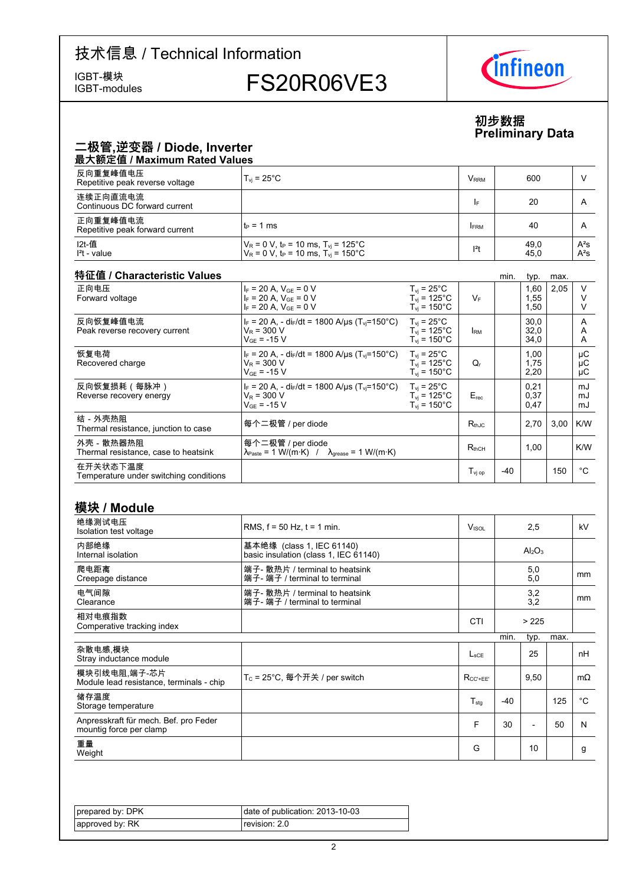IGBT-模块<br>IGBT-modules

# FS20R06VE3



#### **初步数据 Preliminary-Data**

|                                                                  |                                                                                                                                           |                                                                               |                         |      | Fiellilliidiy Dala             |      |                   |
|------------------------------------------------------------------|-------------------------------------------------------------------------------------------------------------------------------------------|-------------------------------------------------------------------------------|-------------------------|------|--------------------------------|------|-------------------|
| 二极管,逆变器 / Diode, Inverter<br>最大额定值 / Maximum Rated Values        |                                                                                                                                           |                                                                               |                         |      |                                |      |                   |
| 反向重复峰值电压<br>Repetitive peak reverse voltage                      | $T_{\text{vj}}$ = 25°C                                                                                                                    |                                                                               | <b>V</b> <sub>RRM</sub> |      | 600                            |      | V                 |
| 连续正向直流电流<br>Continuous DC forward current                        |                                                                                                                                           |                                                                               | IF                      |      | 20                             |      | A                 |
| 正向重复峰值电流<br>Repetitive peak forward current                      | $t_P = 1$ ms                                                                                                                              |                                                                               | <b>IFRM</b>             |      | 40                             |      | A                 |
| I2t-值<br>$l2t$ - value                                           | $V_R$ = 0 V, t <sub>P</sub> = 10 ms, T <sub>vi</sub> = 125 <sup>o</sup> C<br>$V_R$ = 0 V, t <sub>P</sub> = 10 ms, T <sub>vi</sub> = 150°C |                                                                               | $l^2t$                  |      | 49,0<br>45,0                   |      | $A^2S$<br>$A^2S$  |
| 特征值 / Characteristic Values                                      |                                                                                                                                           |                                                                               |                         | min. | typ.                           | max. |                   |
| 正向电压<br>Forward voltage                                          | $I_F$ = 20 A, $V_{GE}$ = 0 V<br>$I_F = 20 A$ , $V_{GF} = 0 V$<br>$I_F = 20 A$ , $V_{GE} = 0 V$                                            | $T_{\rm vj}$ = 25°C<br>$T_{vi}$ = 125°C<br>$T_{\text{vj}}$ = 150°C            | $V_F$                   |      | 1,60<br>1,55<br>1,50           | 2,05 | V<br>V<br>V       |
| 反向恢复峰值电流<br>Peak reverse recovery current                        | $I_F = 20 A$ , - di <sub>F</sub> /dt = 1800 A/µs (T <sub>vi</sub> =150°C)<br>$V_R$ = 300 V<br>$\rm V_{GF}$ = -15 $\rm V$                  | $T_{vi}$ = 25°C<br>$T_{vi}$ = 125°C<br>$T_{\text{vj}}$ = 150°C                | <b>IRM</b>              |      | 30,0<br>32,0<br>34,0           |      | Α<br>Α<br>Α       |
| 恢复电荷<br>Recovered charge                                         | $I_F = 20 A$ , - di $F/dt = 1800 A/\mu s$ (T <sub>vi</sub> =150°C)<br>$V_R$ = 300 V<br>$V_{GE} = -15 V$                                   | $T_{vi}$ = 25 $^{\circ}$ C<br>$T_{vi}$ = 125°C<br>$T_{\rm vj}$ = 150°C        | $Q_{r}$                 |      | 1,00<br>1,75<br>2,20           |      | μC<br>μC<br>μC    |
| 反向恢复损耗(每脉冲)<br>Reverse recovery energy                           | $I_F$ = 20 A, - di <sub>F</sub> /dt = 1800 A/µs (T <sub>vi</sub> =150°C)<br>$V_R$ = 300 V<br>$V_{GE}$ = -15 V                             | $T_{vi}$ = 25 $^{\circ}$ C<br>$T_{vi}$ = 125°C<br>$T_{vi}$ = 150 $^{\circ}$ C | $E_{rec}$               |      | 0,21<br>0,37<br>0,47           |      | mJ<br>mJ<br>mJ    |
| 结-外壳热阻<br>Thermal resistance, junction to case                   | 每个二极管 / per diode                                                                                                                         |                                                                               | $R_{th,IC}$             |      | 2,70                           | 3,00 | K/W               |
| 外壳 - 散热器热阻<br>Thermal resistance, case to heatsink               | 每个二极管 / per diode<br>$\lambda_{\text{Paste}} = 1 \text{ W/(m·K)}$ / $\lambda_{\text{grease}} = 1 \text{ W/(m·K)}$                         |                                                                               | $R_{thCH}$              |      | 1,00                           |      | K/W               |
| 在开关状态下温度<br>Temperature under switching conditions               |                                                                                                                                           |                                                                               | $T_{\text{vj op}}$      | -40  |                                | 150  | $^{\circ}C$       |
| 模块 / Module                                                      |                                                                                                                                           |                                                                               |                         |      |                                |      |                   |
| 绝缘测试电压                                                           | RMS, $f = 50$ Hz, $t = 1$ min.                                                                                                            |                                                                               | $V_{ISOL}$              |      | 2,5                            |      | kV                |
| Isolation test voltage                                           |                                                                                                                                           |                                                                               |                         |      |                                |      |                   |
| 内部绝缘<br>Internal isolation                                       | 基本绝缘 (class 1, IEC 61140)<br>basic insulation (class 1, IEC 61140)                                                                        |                                                                               |                         |      | Al <sub>2</sub> O <sub>3</sub> |      |                   |
| 爬电距离<br>Creepage distance                                        | 端子- 散热片 / terminal to heatsink<br>端子- 端子 / terminal to terminal                                                                           |                                                                               |                         |      | 5,0<br>5,0                     |      | mm                |
| 电气间隙<br>Clearance                                                | 端子- 散热片 / terminal to heatsink<br>端子- 端子 / terminal to terminal                                                                           |                                                                               |                         |      | 3,2<br>3,2                     |      | mm                |
| 相对电痕指数<br>Comperative tracking index                             |                                                                                                                                           |                                                                               | CTI                     |      | > 225                          |      |                   |
|                                                                  |                                                                                                                                           |                                                                               |                         | min. | typ.                           | max. |                   |
| 杂散电感,模块<br>Stray inductance module                               |                                                                                                                                           |                                                                               | $L_{\text{sCE}}$        |      | 25                             |      | nH                |
| 模块引线电阻.端子-芯片<br>Module lead resistance, terminals - chip         | T <sub>C</sub> = 25°C, 每个开关 / per switch                                                                                                  |                                                                               | $R_{CC' + EE'}$         |      | 9,50                           |      | $m\Omega$         |
| 储存温度<br>Storage temperature                                      |                                                                                                                                           |                                                                               | $T_{\text{stg}}$        | -40  |                                | 125  | $^{\circ}{\rm C}$ |
| Anpresskraft für mech. Bef. pro Feder<br>mountig force per clamp |                                                                                                                                           |                                                                               | F                       | 30   | $\overline{a}$                 | 50   | N                 |

——<br>重量<br>Weight <del>로</del>로<br>Weight G | 10 | 9

| prepared by: DPK | date of publication: 2013-10-03 |
|------------------|---------------------------------|
| approved by: RK  | revision: 2.0                   |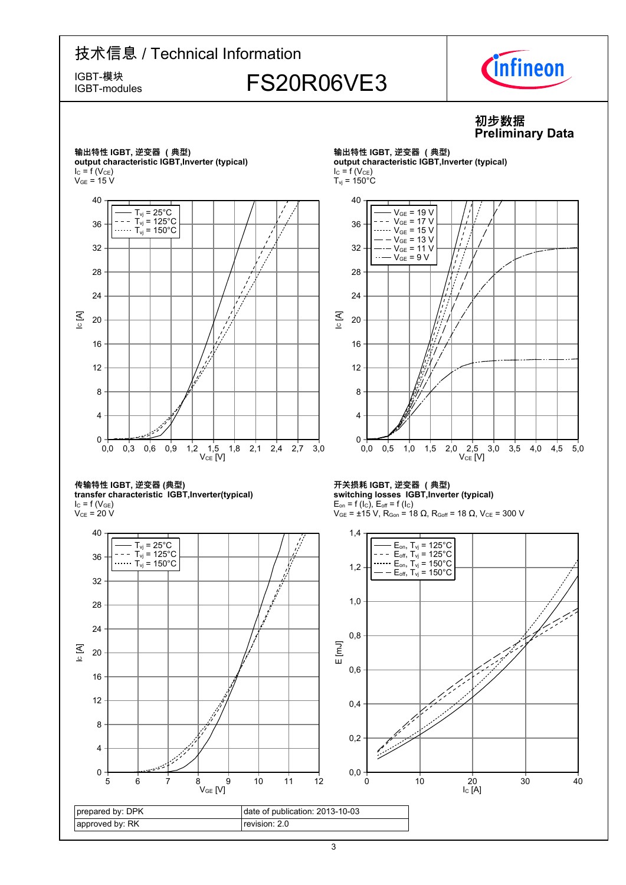# 技术信息 / Technical Information IGBT-模块<br>IGBT-modules FS20R06VE3 IGBT-modules



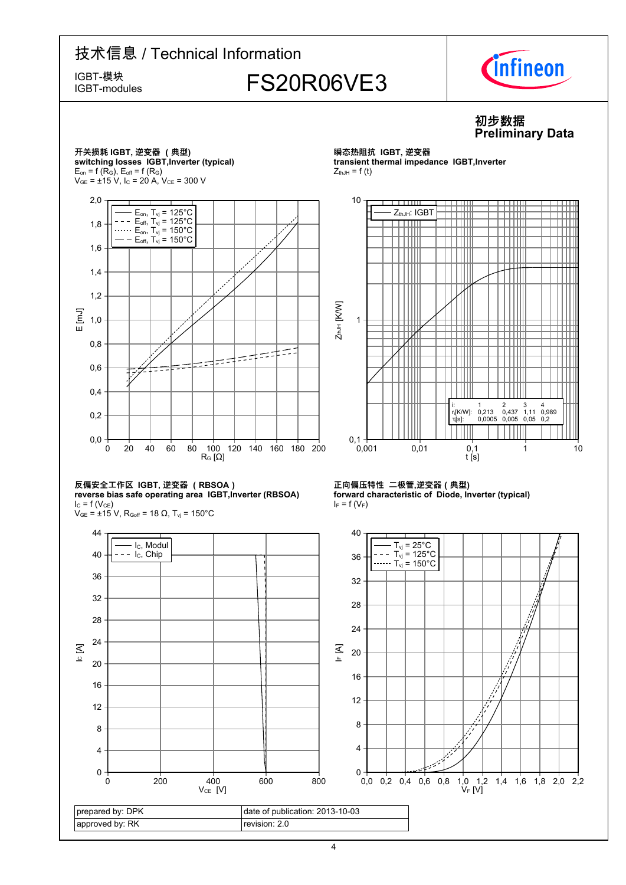

4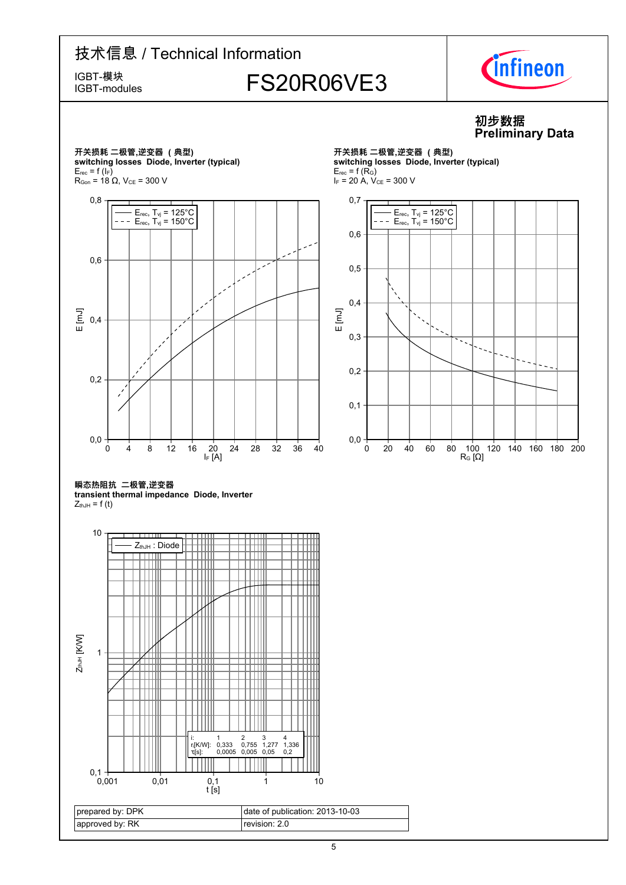IGBT-modules

# IGBT-模块<br>IGBT-modules FS20R06VE3



#### **初步数据 Preliminary-Data**

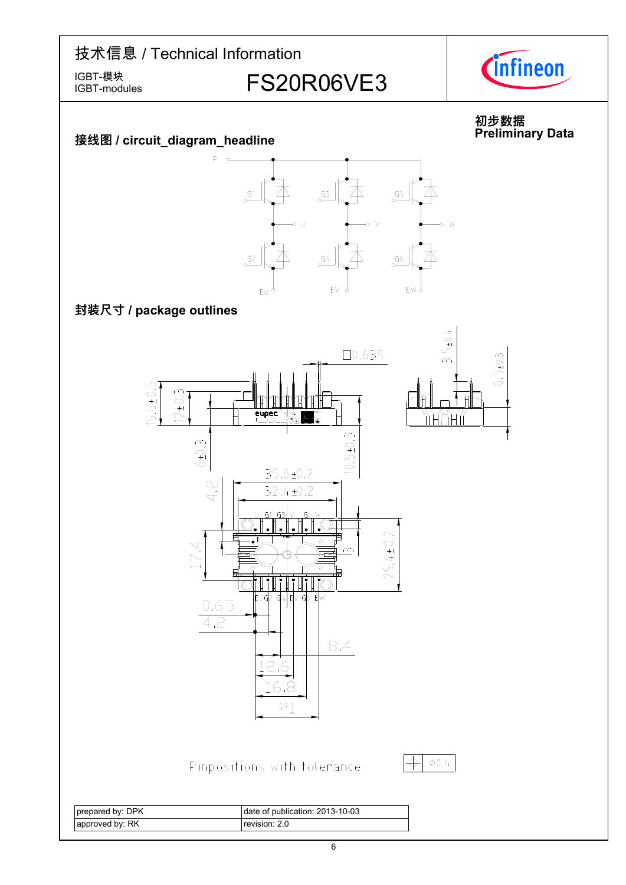IGBT-modules

IGBT-模块<br>IGBT-modules FS20R06VE3



#### **初步数据 Preliminary-**



 $P - c$